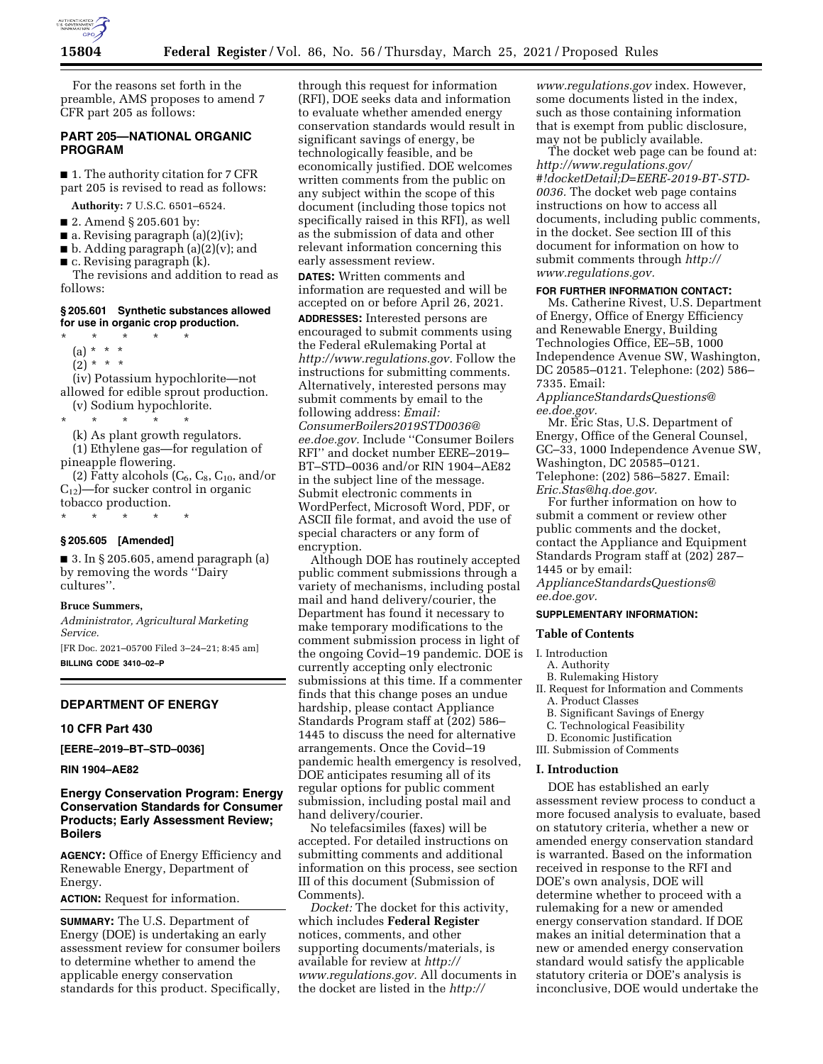

For the reasons set forth in the preamble, AMS proposes to amend 7 CFR part 205 as follows:

### **PART 205—NATIONAL ORGANIC PROGRAM**

■ 1. The authority citation for 7 CFR part 205 is revised to read as follows:

**Authority:** 7 U.S.C. 6501–6524.

- 2. Amend § 205.601 by:
- $\blacksquare$  a. Revising paragraph (a)(2)(iv);
- b. Adding paragraph (a)(2)(v); and
- $\blacksquare$  c. Revising paragraph (k). The revisions and addition to read as

follows:

### **§ 205.601 Synthetic substances allowed for use in organic crop production.**

\* \* \* \* \* (a) \* \* \*

- $(2) * * * *$
- 

(iv) Potassium hypochlorite—not allowed for edible sprout production. (v) Sodium hypochlorite.

\* \* \* \* \*

(k) As plant growth regulators.

(1) Ethylene gas—for regulation of pineapple flowering.

(2) Fatty alcohols  $(C_6, C_8, C_{10}, \text{and/or}$  $C_{12}$ —for sucker control in organic tobacco production.

\* \* \* \* \*

### **§ 205.605 [Amended]**

■ 3. In § 205.605, amend paragraph (a) by removing the words ''Dairy cultures''.

### **Bruce Summers,**

*Administrator, Agricultural Marketing Service.* 

[FR Doc. 2021–05700 Filed 3–24–21; 8:45 am] **BILLING CODE 3410–02–P** 

### **DEPARTMENT OF ENERGY**

#### **10 CFR Part 430**

**[EERE–2019–BT–STD–0036]** 

**RIN 1904–AE82** 

## **Energy Conservation Program: Energy Conservation Standards for Consumer Products; Early Assessment Review; Boilers**

**AGENCY:** Office of Energy Efficiency and Renewable Energy, Department of Energy.

**ACTION:** Request for information.

**SUMMARY:** The U.S. Department of Energy (DOE) is undertaking an early assessment review for consumer boilers to determine whether to amend the applicable energy conservation standards for this product. Specifically,

through this request for information (RFI), DOE seeks data and information to evaluate whether amended energy conservation standards would result in significant savings of energy, be technologically feasible, and be economically justified. DOE welcomes written comments from the public on any subject within the scope of this document (including those topics not specifically raised in this RFI), as well as the submission of data and other relevant information concerning this early assessment review.

**DATES:** Written comments and information are requested and will be accepted on or before April 26, 2021. **ADDRESSES:** Interested persons are encouraged to submit comments using the Federal eRulemaking Portal at *[http://www.regulations.gov.](http://www.regulations.gov)* Follow the instructions for submitting comments. Alternatively, interested persons may submit comments by email to the following address: *Email: [ConsumerBoilers2019STD0036@](mailto:ConsumerBoilers2019STD0036@ee.doe.gov) [ee.doe.gov.](mailto:ConsumerBoilers2019STD0036@ee.doe.gov)* Include ''Consumer Boilers RFI'' and docket number EERE–2019– BT–STD–0036 and/or RIN 1904–AE82 in the subject line of the message. Submit electronic comments in WordPerfect, Microsoft Word, PDF, or ASCII file format, and avoid the use of special characters or any form of encryption.

Although DOE has routinely accepted public comment submissions through a variety of mechanisms, including postal mail and hand delivery/courier, the Department has found it necessary to make temporary modifications to the comment submission process in light of the ongoing Covid–19 pandemic. DOE is currently accepting only electronic submissions at this time. If a commenter finds that this change poses an undue hardship, please contact Appliance Standards Program staff at (202) 586– 1445 to discuss the need for alternative arrangements. Once the Covid–19 pandemic health emergency is resolved, DOE anticipates resuming all of its regular options for public comment submission, including postal mail and hand delivery/courier.

No telefacsimiles (faxes) will be accepted. For detailed instructions on submitting comments and additional information on this process, see section III of this document (Submission of Comments).

*Docket:* The docket for this activity, which includes **Federal Register**  notices, comments, and other supporting documents/materials, is available for review at *[http://](http://www.regulations.gov) [www.regulations.gov.](http://www.regulations.gov)* All documents in the docket are listed in the *[http://](http://www.regulations.gov)*

*[www.regulations.gov](http://www.regulations.gov)* index. However, some documents listed in the index, such as those containing information that is exempt from public disclosure, may not be publicly available.

The docket web page can be found at: *[http://www.regulations.gov/](http://www.regulations.gov/#!docketDetail;D=EERE-2019-BT-STD-0036)  [#!docketDetail;D=EERE-2019-BT-STD-](http://www.regulations.gov/#!docketDetail;D=EERE-2019-BT-STD-0036)[0036.](http://www.regulations.gov/#!docketDetail;D=EERE-2019-BT-STD-0036)* The docket web page contains instructions on how to access all documents, including public comments, in the docket. See section III of this document for information on how to submit comments through *[http://](http://www.regulations.gov) [www.regulations.gov.](http://www.regulations.gov)* 

#### **FOR FURTHER INFORMATION CONTACT:**

Ms. Catherine Rivest, U.S. Department of Energy, Office of Energy Efficiency and Renewable Energy, Building Technologies Office, EE–5B, 1000 Independence Avenue SW, Washington, DC 20585–0121. Telephone: (202) 586– 7335. Email:

*[ApplianceStandardsQuestions@](mailto:ApplianceStandardsQuestions@ee.doe.gov) [ee.doe.gov.](mailto:ApplianceStandardsQuestions@ee.doe.gov)* 

Mr. Eric Stas, U.S. Department of Energy, Office of the General Counsel, GC–33, 1000 Independence Avenue SW, Washington, DC 20585–0121. Telephone: (202) 586–5827. Email: *[Eric.Stas@hq.doe.gov.](mailto:Eric.Stas@hq.doe.gov)* 

For further information on how to submit a comment or review other public comments and the docket, contact the Appliance and Equipment Standards Program staff at (202) 287– 1445 or by email:

*[ApplianceStandardsQuestions@](mailto:ApplianceStandardsQuestions@ee.doe.gov) [ee.doe.gov.](mailto:ApplianceStandardsQuestions@ee.doe.gov)* 

# **SUPPLEMENTARY INFORMATION:**

## **Table of Contents**

### I. Introduction

- A. Authority
- B. Rulemaking History
- II. Request for Information and Comments A. Product Classes
	- B. Significant Savings of Energy
- C. Technological Feasibility
- D. Economic Justification
- III. Submission of Comments

### **I. Introduction**

DOE has established an early assessment review process to conduct a more focused analysis to evaluate, based on statutory criteria, whether a new or amended energy conservation standard is warranted. Based on the information received in response to the RFI and DOE's own analysis, DOE will determine whether to proceed with a rulemaking for a new or amended energy conservation standard. If DOE makes an initial determination that a new or amended energy conservation standard would satisfy the applicable statutory criteria or DOE's analysis is inconclusive, DOE would undertake the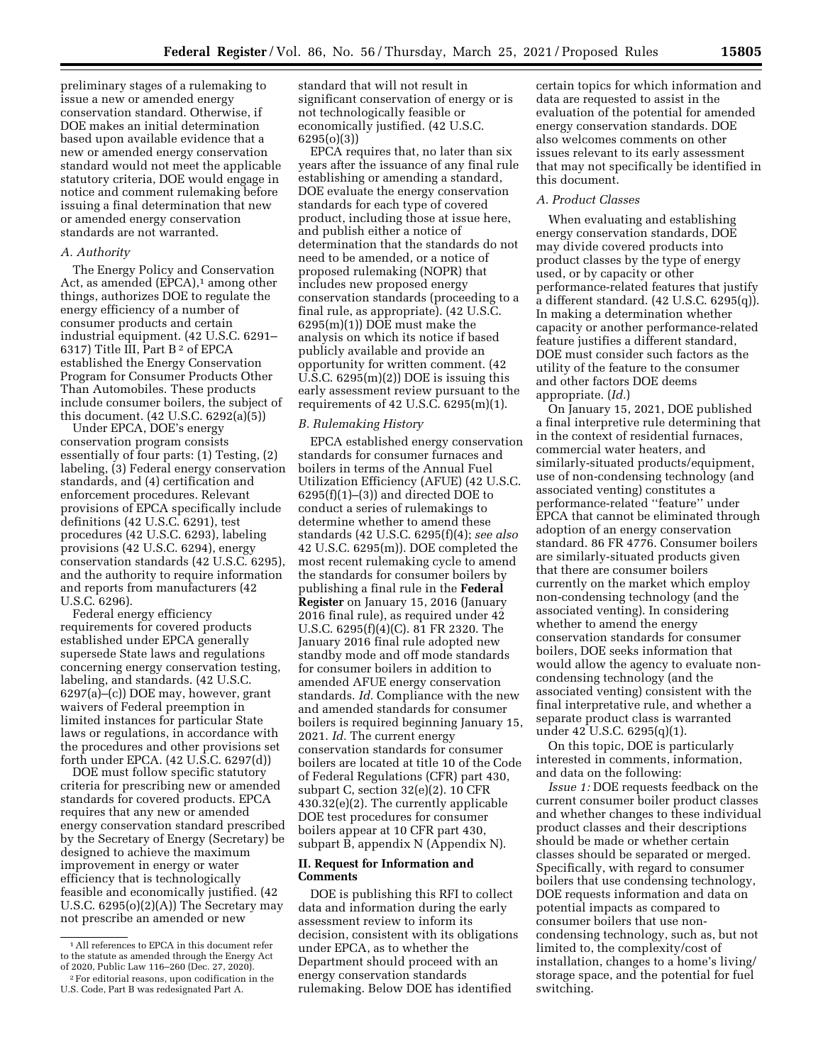preliminary stages of a rulemaking to issue a new or amended energy conservation standard. Otherwise, if DOE makes an initial determination based upon available evidence that a new or amended energy conservation standard would not meet the applicable statutory criteria, DOE would engage in notice and comment rulemaking before issuing a final determination that new or amended energy conservation

standards are not warranted.

### *A. Authority*

The Energy Policy and Conservation Act, as amended  $(EPCA)$ , among other things, authorizes DOE to regulate the energy efficiency of a number of consumer products and certain industrial equipment. (42 U.S.C. 6291– 6317) Title III, Part B 2 of EPCA established the Energy Conservation Program for Consumer Products Other Than Automobiles. These products include consumer boilers, the subject of this document. (42 U.S.C. 6292(a)(5))

Under EPCA, DOE's energy conservation program consists essentially of four parts: (1) Testing, (2) labeling, (3) Federal energy conservation standards, and (4) certification and enforcement procedures. Relevant provisions of EPCA specifically include definitions (42 U.S.C. 6291), test procedures (42 U.S.C. 6293), labeling provisions (42 U.S.C. 6294), energy conservation standards (42 U.S.C. 6295), and the authority to require information and reports from manufacturers (42 U.S.C. 6296).

Federal energy efficiency requirements for covered products established under EPCA generally supersede State laws and regulations concerning energy conservation testing, labeling, and standards. (42 U.S.C. 6297(a)–(c)) DOE may, however, grant waivers of Federal preemption in limited instances for particular State laws or regulations, in accordance with the procedures and other provisions set forth under EPCA. (42 U.S.C. 6297(d))

DOE must follow specific statutory criteria for prescribing new or amended standards for covered products. EPCA requires that any new or amended energy conservation standard prescribed by the Secretary of Energy (Secretary) be designed to achieve the maximum improvement in energy or water efficiency that is technologically feasible and economically justified. (42 U.S.C. 6295(o)(2)(A)) The Secretary may not prescribe an amended or new

standard that will not result in significant conservation of energy or is not technologically feasible or economically justified. (42 U.S.C. 6295(o)(3))

EPCA requires that, no later than six years after the issuance of any final rule establishing or amending a standard, DOE evaluate the energy conservation standards for each type of covered product, including those at issue here, and publish either a notice of determination that the standards do not need to be amended, or a notice of proposed rulemaking (NOPR) that includes new proposed energy conservation standards (proceeding to a final rule, as appropriate). (42 U.S.C. 6295(m)(1)) DOE must make the analysis on which its notice if based publicly available and provide an opportunity for written comment. (42 U.S.C.  $6295(m)(2)$ ) DOE is issuing this early assessment review pursuant to the requirements of 42 U.S.C. 6295(m)(1).

### *B. Rulemaking History*

EPCA established energy conservation standards for consumer furnaces and boilers in terms of the Annual Fuel Utilization Efficiency (AFUE) (42 U.S.C.  $6295(f)(1)–(3)$  and directed DOE to conduct a series of rulemakings to determine whether to amend these standards (42 U.S.C. 6295(f)(4); *see also*  42 U.S.C. 6295(m)). DOE completed the most recent rulemaking cycle to amend the standards for consumer boilers by publishing a final rule in the **Federal Register** on January 15, 2016 (January 2016 final rule), as required under 42 U.S.C. 6295(f)(4)(C). 81 FR 2320. The January 2016 final rule adopted new standby mode and off mode standards for consumer boilers in addition to amended AFUE energy conservation standards. *Id.* Compliance with the new and amended standards for consumer boilers is required beginning January 15, 2021. *Id.* The current energy conservation standards for consumer boilers are located at title 10 of the Code of Federal Regulations (CFR) part 430, subpart C, section 32(e)(2). 10 CFR 430.32(e)(2). The currently applicable DOE test procedures for consumer boilers appear at 10 CFR part 430, subpart  $\overline{B}$ , appendix N (Appendix N).

### **II. Request for Information and Comments**

DOE is publishing this RFI to collect data and information during the early assessment review to inform its decision, consistent with its obligations under EPCA, as to whether the Department should proceed with an energy conservation standards rulemaking. Below DOE has identified

certain topics for which information and data are requested to assist in the evaluation of the potential for amended energy conservation standards. DOE also welcomes comments on other issues relevant to its early assessment that may not specifically be identified in this document.

### *A. Product Classes*

When evaluating and establishing energy conservation standards, DOE may divide covered products into product classes by the type of energy used, or by capacity or other performance-related features that justify a different standard. (42 U.S.C. 6295(q)). In making a determination whether capacity or another performance-related feature justifies a different standard, DOE must consider such factors as the utility of the feature to the consumer and other factors DOE deems appropriate. (*Id.*)

On January 15, 2021, DOE published a final interpretive rule determining that in the context of residential furnaces, commercial water heaters, and similarly-situated products/equipment, use of non-condensing technology (and associated venting) constitutes a performance-related ''feature'' under EPCA that cannot be eliminated through adoption of an energy conservation standard. 86 FR 4776. Consumer boilers are similarly-situated products given that there are consumer boilers currently on the market which employ non-condensing technology (and the associated venting). In considering whether to amend the energy conservation standards for consumer boilers, DOE seeks information that would allow the agency to evaluate noncondensing technology (and the associated venting) consistent with the final interpretative rule, and whether a separate product class is warranted under 42 U.S.C. 6295(q)(1).

On this topic, DOE is particularly interested in comments, information, and data on the following:

*Issue 1:* DOE requests feedback on the current consumer boiler product classes and whether changes to these individual product classes and their descriptions should be made or whether certain classes should be separated or merged. Specifically, with regard to consumer boilers that use condensing technology, DOE requests information and data on potential impacts as compared to consumer boilers that use noncondensing technology, such as, but not limited to, the complexity/cost of installation, changes to a home's living/ storage space, and the potential for fuel switching.

<sup>1</sup>All references to EPCA in this document refer to the statute as amended through the Energy Act of 2020, Public Law 116–260 (Dec. 27, 2020).

<sup>2</sup>For editorial reasons, upon codification in the U.S. Code, Part B was redesignated Part A.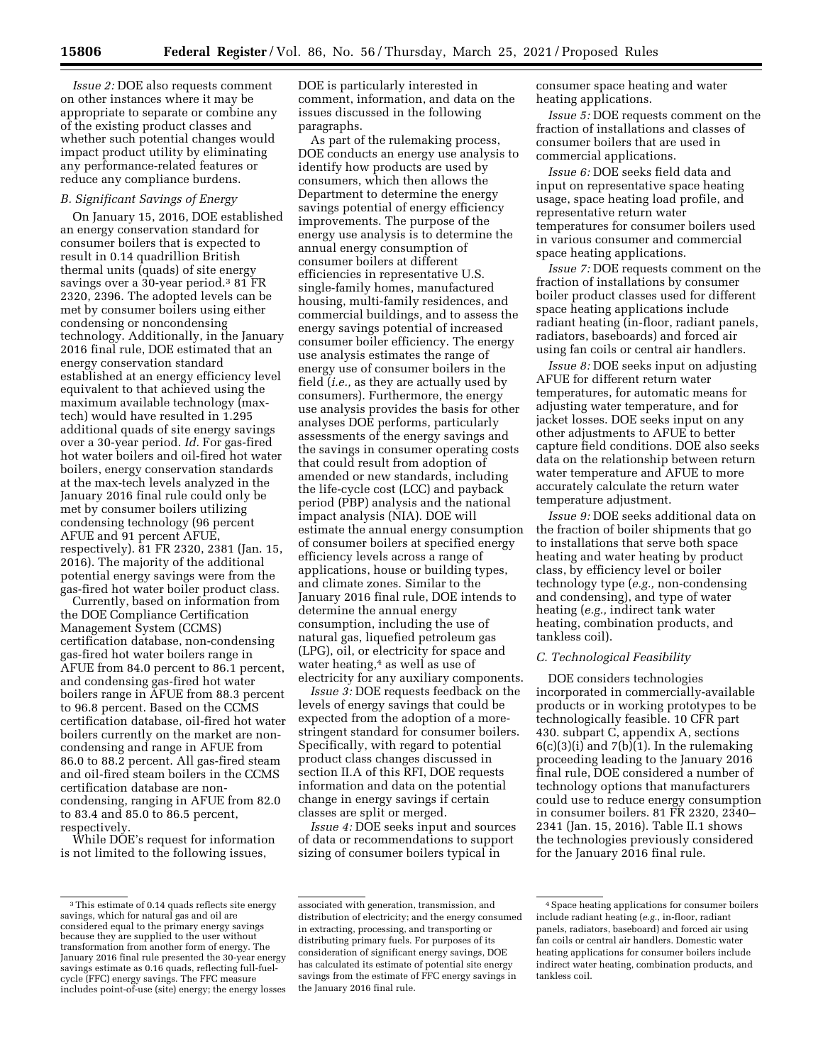*Issue 2:* DOE also requests comment on other instances where it may be appropriate to separate or combine any of the existing product classes and whether such potential changes would impact product utility by eliminating any performance-related features or reduce any compliance burdens.

### *B. Significant Savings of Energy*

On January 15, 2016, DOE established an energy conservation standard for consumer boilers that is expected to result in 0.14 quadrillion British thermal units (quads) of site energy savings over a 30-year period.<sup>3</sup> 81 FR 2320, 2396. The adopted levels can be met by consumer boilers using either condensing or noncondensing technology. Additionally, in the January 2016 final rule, DOE estimated that an energy conservation standard established at an energy efficiency level equivalent to that achieved using the maximum available technology (maxtech) would have resulted in 1.295 additional quads of site energy savings over a 30-year period. *Id.* For gas-fired hot water boilers and oil-fired hot water boilers, energy conservation standards at the max-tech levels analyzed in the January 2016 final rule could only be met by consumer boilers utilizing condensing technology (96 percent AFUE and 91 percent AFUE, respectively). 81 FR 2320, 2381 (Jan. 15, 2016). The majority of the additional potential energy savings were from the gas-fired hot water boiler product class.

Currently, based on information from the DOE Compliance Certification Management System (CCMS) certification database, non-condensing gas-fired hot water boilers range in AFUE from 84.0 percent to 86.1 percent, and condensing gas-fired hot water boilers range in AFUE from 88.3 percent to 96.8 percent. Based on the CCMS certification database, oil-fired hot water boilers currently on the market are noncondensing and range in AFUE from 86.0 to 88.2 percent. All gas-fired steam and oil-fired steam boilers in the CCMS certification database are noncondensing, ranging in AFUE from 82.0 to 83.4 and 85.0 to 86.5 percent, respectively.

While DOE's request for information is not limited to the following issues,

DOE is particularly interested in comment, information, and data on the issues discussed in the following paragraphs.

As part of the rulemaking process, DOE conducts an energy use analysis to identify how products are used by consumers, which then allows the Department to determine the energy savings potential of energy efficiency improvements. The purpose of the energy use analysis is to determine the annual energy consumption of consumer boilers at different efficiencies in representative U.S. single-family homes, manufactured housing, multi-family residences, and commercial buildings, and to assess the energy savings potential of increased consumer boiler efficiency. The energy use analysis estimates the range of energy use of consumer boilers in the field (*i.e.,* as they are actually used by consumers). Furthermore, the energy use analysis provides the basis for other analyses DOE performs, particularly assessments of the energy savings and the savings in consumer operating costs that could result from adoption of amended or new standards, including the life-cycle cost (LCC) and payback period (PBP) analysis and the national impact analysis (NIA). DOE will estimate the annual energy consumption of consumer boilers at specified energy efficiency levels across a range of applications, house or building types, and climate zones. Similar to the January 2016 final rule, DOE intends to determine the annual energy consumption, including the use of natural gas, liquefied petroleum gas (LPG), oil, or electricity for space and water heating,4 as well as use of electricity for any auxiliary components.

*Issue 3:* DOE requests feedback on the levels of energy savings that could be expected from the adoption of a morestringent standard for consumer boilers. Specifically, with regard to potential product class changes discussed in section II.A of this RFI, DOE requests information and data on the potential change in energy savings if certain classes are split or merged.

*Issue 4:* DOE seeks input and sources of data or recommendations to support sizing of consumer boilers typical in

consumer space heating and water heating applications.

*Issue 5:* DOE requests comment on the fraction of installations and classes of consumer boilers that are used in commercial applications.

*Issue 6:* DOE seeks field data and input on representative space heating usage, space heating load profile, and representative return water temperatures for consumer boilers used in various consumer and commercial space heating applications.

*Issue 7:* DOE requests comment on the fraction of installations by consumer boiler product classes used for different space heating applications include radiant heating (in-floor, radiant panels, radiators, baseboards) and forced air using fan coils or central air handlers.

*Issue 8:* DOE seeks input on adjusting AFUE for different return water temperatures, for automatic means for adjusting water temperature, and for jacket losses. DOE seeks input on any other adjustments to AFUE to better capture field conditions. DOE also seeks data on the relationship between return water temperature and AFUE to more accurately calculate the return water temperature adjustment.

*Issue 9:* DOE seeks additional data on the fraction of boiler shipments that go to installations that serve both space heating and water heating by product class, by efficiency level or boiler technology type (*e.g.,* non-condensing and condensing), and type of water heating (*e.g.,* indirect tank water heating, combination products, and tankless coil).

### *C. Technological Feasibility*

DOE considers technologies incorporated in commercially-available products or in working prototypes to be technologically feasible. 10 CFR part 430. subpart C, appendix A, sections  $6(c)(3)(i)$  and  $7(b)(1)$ . In the rulemaking proceeding leading to the January 2016 final rule, DOE considered a number of technology options that manufacturers could use to reduce energy consumption in consumer boilers. 81 FR 2320, 2340– 2341 (Jan. 15, 2016). Table II.1 shows the technologies previously considered for the January 2016 final rule.

<sup>&</sup>lt;sup>3</sup>This estimate of 0.14 quads reflects site energy savings, which for natural gas and oil are considered equal to the primary energy savings because they are supplied to the user without transformation from another form of energy. The January 2016 final rule presented the 30-year energy savings estimate as 0.16 quads, reflecting full-fuelcycle (FFC) energy savings. The FFC measure includes point-of-use (site) energy; the energy losses

associated with generation, transmission, and distribution of electricity; and the energy consumed in extracting, processing, and transporting or distributing primary fuels. For purposes of its consideration of significant energy savings, DOE has calculated its estimate of potential site energy savings from the estimate of FFC energy savings in the January 2016 final rule.

<sup>4</sup>Space heating applications for consumer boilers include radiant heating (*e.g.,* in-floor, radiant panels, radiators, baseboard) and forced air using fan coils or central air handlers. Domestic water heating applications for consumer boilers include indirect water heating, combination products, and tankless coil.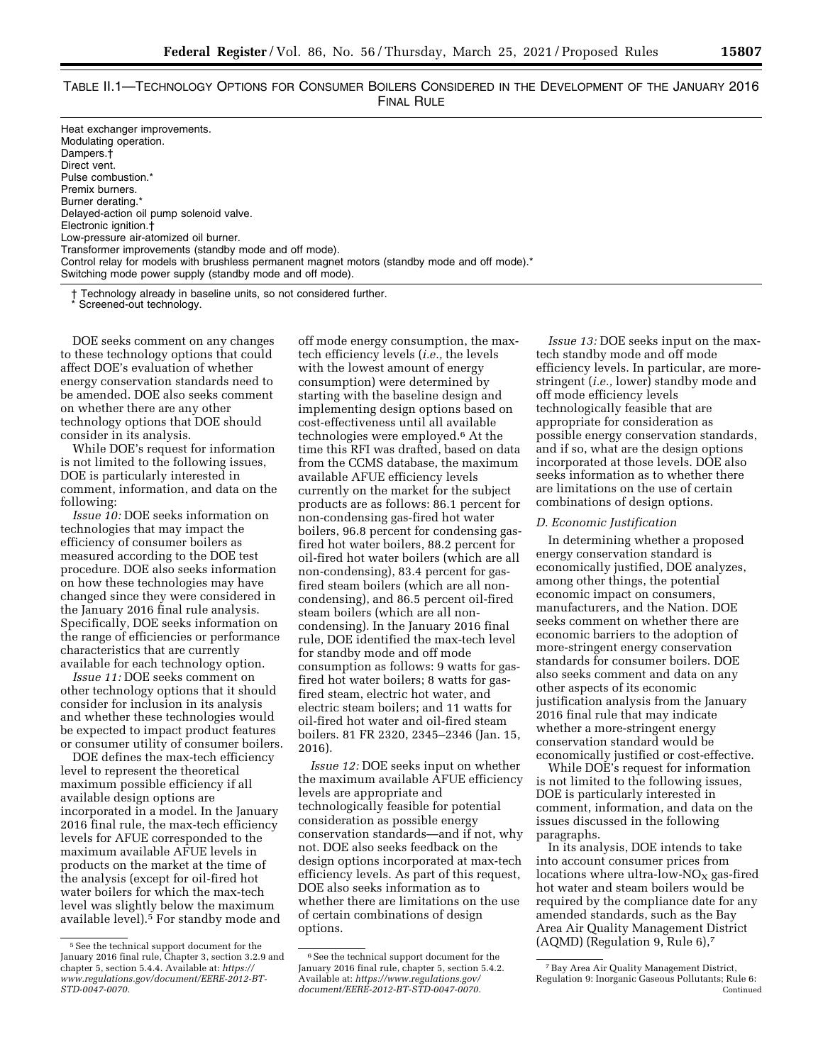| TABLE II.1—TECHNOLOGY OPTIONS FOR CONSUMER BOILERS CONSIDERED IN THE DEVELOPMENT OF THE JANUARY 2016 |            |  |
|------------------------------------------------------------------------------------------------------|------------|--|
|                                                                                                      | FINAL RULE |  |

| Heat exchanger improvements.                                                                  |  |
|-----------------------------------------------------------------------------------------------|--|
| Modulating operation.                                                                         |  |
| Dampers.†                                                                                     |  |
| Direct vent.                                                                                  |  |
| Pulse combustion.*                                                                            |  |
| Premix burners.                                                                               |  |
| Burner derating.*                                                                             |  |
| Delayed-action oil pump solenoid valve.                                                       |  |
| Electronic ignition.+                                                                         |  |
| Low-pressure air-atomized oil burner.                                                         |  |
| Transformer improvements (standby mode and off mode).                                         |  |
| Control relay for models with brushless permanent magnet motors (standby mode and off mode).* |  |
| Switching mode power supply (standby mode and off mode).                                      |  |

† Technology already in baseline units, so not considered further.

Screened-out technology.

DOE seeks comment on any changes to these technology options that could affect DOE's evaluation of whether energy conservation standards need to be amended. DOE also seeks comment on whether there are any other technology options that DOE should consider in its analysis.

While DOE's request for information is not limited to the following issues, DOE is particularly interested in comment, information, and data on the following:

*Issue 10:* DOE seeks information on technologies that may impact the efficiency of consumer boilers as measured according to the DOE test procedure. DOE also seeks information on how these technologies may have changed since they were considered in the January 2016 final rule analysis. Specifically, DOE seeks information on the range of efficiencies or performance characteristics that are currently available for each technology option.

*Issue 11:* DOE seeks comment on other technology options that it should consider for inclusion in its analysis and whether these technologies would be expected to impact product features or consumer utility of consumer boilers.

DOE defines the max-tech efficiency level to represent the theoretical maximum possible efficiency if all available design options are incorporated in a model. In the January 2016 final rule, the max-tech efficiency levels for AFUE corresponded to the maximum available AFUE levels in products on the market at the time of the analysis (except for oil-fired hot water boilers for which the max-tech level was slightly below the maximum available level).5 For standby mode and

off mode energy consumption, the maxtech efficiency levels (*i.e.,* the levels with the lowest amount of energy consumption) were determined by starting with the baseline design and implementing design options based on cost-effectiveness until all available technologies were employed.6 At the time this RFI was drafted, based on data from the CCMS database, the maximum available AFUE efficiency levels currently on the market for the subject products are as follows: 86.1 percent for non-condensing gas-fired hot water boilers, 96.8 percent for condensing gasfired hot water boilers, 88.2 percent for oil-fired hot water boilers (which are all non-condensing), 83.4 percent for gasfired steam boilers (which are all noncondensing), and 86.5 percent oil-fired steam boilers (which are all noncondensing). In the January 2016 final rule, DOE identified the max-tech level for standby mode and off mode consumption as follows: 9 watts for gasfired hot water boilers; 8 watts for gasfired steam, electric hot water, and electric steam boilers; and 11 watts for oil-fired hot water and oil-fired steam boilers. 81 FR 2320, 2345–2346 (Jan. 15, 2016).

*Issue 12:* DOE seeks input on whether the maximum available AFUE efficiency levels are appropriate and technologically feasible for potential consideration as possible energy conservation standards—and if not, why not. DOE also seeks feedback on the design options incorporated at max-tech efficiency levels. As part of this request, DOE also seeks information as to whether there are limitations on the use of certain combinations of design options.

*Issue 13:* DOE seeks input on the maxtech standby mode and off mode efficiency levels. In particular, are morestringent (*i.e.,* lower) standby mode and off mode efficiency levels technologically feasible that are appropriate for consideration as possible energy conservation standards, and if so, what are the design options incorporated at those levels. DOE also seeks information as to whether there are limitations on the use of certain combinations of design options.

### *D. Economic Justification*

In determining whether a proposed energy conservation standard is economically justified, DOE analyzes, among other things, the potential economic impact on consumers, manufacturers, and the Nation. DOE seeks comment on whether there are economic barriers to the adoption of more-stringent energy conservation standards for consumer boilers. DOE also seeks comment and data on any other aspects of its economic justification analysis from the January 2016 final rule that may indicate whether a more-stringent energy conservation standard would be economically justified or cost-effective.

While DOE's request for information is not limited to the following issues, DOE is particularly interested in comment, information, and data on the issues discussed in the following paragraphs.

In its analysis, DOE intends to take into account consumer prices from locations where ultra-low- $NO_X$  gas-fired hot water and steam boilers would be required by the compliance date for any amended standards, such as the Bay Area Air Quality Management District (AQMD) (Regulation 9, Rule 6),7

<sup>5</sup>See the technical support document for the January 2016 final rule, Chapter 3, section 3.2.9 and chapter 5, section 5.4.4. Available at: *[https://](https://www.regulations.gov/document/EERE-2012-BT-STD-0047-0070) [www.regulations.gov/document/EERE-2012-BT-](https://www.regulations.gov/document/EERE-2012-BT-STD-0047-0070)[STD-0047-0070.](https://www.regulations.gov/document/EERE-2012-BT-STD-0047-0070)* 

<sup>6</sup>See the technical support document for the January 2016 final rule, chapter 5, section 5.4.2. Available at: *[https://www.regulations.gov/](https://www.regulations.gov/document/EERE-2012-BT-STD-0047-0070)  [document/EERE-2012-BT-STD-0047-0070.](https://www.regulations.gov/document/EERE-2012-BT-STD-0047-0070)* 

<sup>7</sup>Bay Area Air Quality Management District, Regulation 9: Inorganic Gaseous Pollutants; Rule 6: Continued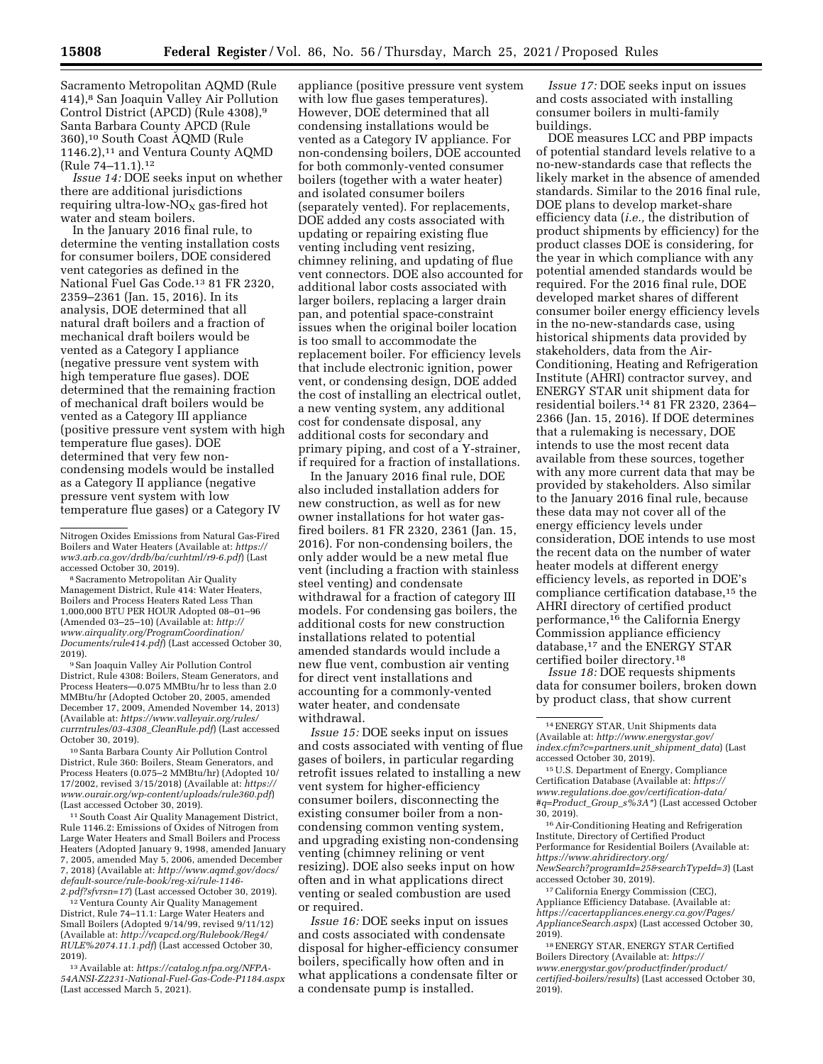Sacramento Metropolitan AQMD (Rule 414),8 San Joaquin Valley Air Pollution Control District (APCD) (Rule 4308),9 Santa Barbara County APCD (Rule 360),10 South Coast AQMD (Rule 1146.2),<sup>11</sup> and Ventura County AOMD (Rule 74–11.1).12

*Issue 14:* DOE seeks input on whether there are additional jurisdictions requiring ultra-low- $NO<sub>x</sub>$  gas-fired hot water and steam boilers.

In the January 2016 final rule, to determine the venting installation costs for consumer boilers, DOE considered vent categories as defined in the National Fuel Gas Code.13 81 FR 2320, 2359–2361 (Jan. 15, 2016). In its analysis, DOE determined that all natural draft boilers and a fraction of mechanical draft boilers would be vented as a Category I appliance (negative pressure vent system with high temperature flue gases). DOE determined that the remaining fraction of mechanical draft boilers would be vented as a Category III appliance (positive pressure vent system with high temperature flue gases). DOE determined that very few noncondensing models would be installed as a Category II appliance (negative pressure vent system with low temperature flue gases) or a Category IV

<sup>8</sup> Sacramento Metropolitan Air Quality Management District, Rule 414: Water Heaters, Boilers and Process Heaters Rated Less Than 1,000,000 BTU PER HOUR Adopted 08–01–96 (Amended 03–25–10) (Available at: *[http://](http://www.airquality.org/ProgramCoordination/Documents/rule414.pdf) [www.airquality.org/ProgramCoordination/](http://www.airquality.org/ProgramCoordination/Documents/rule414.pdf) [Documents/rule414.pdf](http://www.airquality.org/ProgramCoordination/Documents/rule414.pdf)*) (Last accessed October 30, 2019).

9San Joaquin Valley Air Pollution Control District, Rule 4308: Boilers, Steam Generators, and Process Heaters—0.075 MMBtu/hr to less than 2.0 MMBtu/hr (Adopted October 20, 2005, amended December 17, 2009, Amended November 14, 2013) (Available at: *[https://www.valleyair.org/rules/](https://www.valleyair.org/rules/currntrules/03-4308_CleanRule.pdf)  [currntrules/03-4308](https://www.valleyair.org/rules/currntrules/03-4308_CleanRule.pdf)*\_*CleanRule.pdf*) (Last accessed October 30, 2019).

10Santa Barbara County Air Pollution Control District, Rule 360: Boilers, Steam Generators, and Process Heaters (0.075–2 MMBtu/hr) (Adopted 10/ 17/2002, revised 3/15/2018) (Available at: *[https://](https://www.ourair.org/wp-content/uploads/rule360.pdf)  [www.ourair.org/wp-content/uploads/rule360.pdf](https://www.ourair.org/wp-content/uploads/rule360.pdf)*) (Last accessed October 30, 2019).

11South Coast Air Quality Management District, Rule 1146.2: Emissions of Oxides of Nitrogen from Large Water Heaters and Small Boilers and Process Heaters (Adopted January 9, 1998, amended January 7, 2005, amended May 5, 2006, amended December 7, 2018) (Available at: *[http://www.aqmd.gov/docs/](http://www.aqmd.gov/docs/default-source/rule-book/reg-xi/rule-1146-2.pdf?sfvrsn=17) [default-source/rule-book/reg-xi/rule-1146-](http://www.aqmd.gov/docs/default-source/rule-book/reg-xi/rule-1146-2.pdf?sfvrsn=17) [2.pdf?sfvrsn=17](http://www.aqmd.gov/docs/default-source/rule-book/reg-xi/rule-1146-2.pdf?sfvrsn=17)*) (Last accessed October 30, 2019).

12 Ventura County Air Quality Management District, Rule 74–11.1: Large Water Heaters and Small Boilers (Adopted 9/14/99, revised 9/11/12) (Available at: *[http://vcapcd.org/Rulebook/Reg4/](http://vcapcd.org/Rulebook/Reg4/RULE%2074.11.1.pdf) [RULE%2074.11.1.pdf](http://vcapcd.org/Rulebook/Reg4/RULE%2074.11.1.pdf)*) (Last accessed October 30, 2019).

13Available at: *[https://catalog.nfpa.org/NFPA-](https://catalog.nfpa.org/NFPA-54ANSI-Z2231-National-Fuel-Gas-Code-P1184.aspx)[54ANSI-Z2231-National-Fuel-Gas-Code-P1184.aspx](https://catalog.nfpa.org/NFPA-54ANSI-Z2231-National-Fuel-Gas-Code-P1184.aspx)*  (Last accessed March 5, 2021).

appliance (positive pressure vent system with low flue gases temperatures). However, DOE determined that all condensing installations would be vented as a Category IV appliance. For non-condensing boilers, DOE accounted for both commonly-vented consumer boilers (together with a water heater) and isolated consumer boilers (separately vented). For replacements, DOE added any costs associated with updating or repairing existing flue venting including vent resizing, chimney relining, and updating of flue vent connectors. DOE also accounted for additional labor costs associated with larger boilers, replacing a larger drain pan, and potential space-constraint issues when the original boiler location is too small to accommodate the replacement boiler. For efficiency levels that include electronic ignition, power vent, or condensing design, DOE added the cost of installing an electrical outlet, a new venting system, any additional cost for condensate disposal, any additional costs for secondary and primary piping, and cost of a Y-strainer, if required for a fraction of installations.

In the January 2016 final rule, DOE also included installation adders for new construction, as well as for new owner installations for hot water gasfired boilers. 81 FR 2320, 2361 (Jan. 15, 2016). For non-condensing boilers, the only adder would be a new metal flue vent (including a fraction with stainless steel venting) and condensate withdrawal for a fraction of category III models. For condensing gas boilers, the additional costs for new construction installations related to potential amended standards would include a new flue vent, combustion air venting for direct vent installations and accounting for a commonly-vented water heater, and condensate withdrawal.

*Issue 15:* DOE seeks input on issues and costs associated with venting of flue gases of boilers, in particular regarding retrofit issues related to installing a new vent system for higher-efficiency consumer boilers, disconnecting the existing consumer boiler from a noncondensing common venting system, and upgrading existing non-condensing venting (chimney relining or vent resizing). DOE also seeks input on how often and in what applications direct venting or sealed combustion are used or required.

*Issue 16:* DOE seeks input on issues and costs associated with condensate disposal for higher-efficiency consumer boilers, specifically how often and in what applications a condensate filter or a condensate pump is installed.

*Issue 17:* DOE seeks input on issues and costs associated with installing consumer boilers in multi-family buildings.

DOE measures LCC and PBP impacts of potential standard levels relative to a no-new-standards case that reflects the likely market in the absence of amended standards. Similar to the 2016 final rule, DOE plans to develop market-share efficiency data (*i.e.,* the distribution of product shipments by efficiency) for the product classes DOE is considering, for the year in which compliance with any potential amended standards would be required. For the 2016 final rule, DOE developed market shares of different consumer boiler energy efficiency levels in the no-new-standards case, using historical shipments data provided by stakeholders, data from the Air-Conditioning, Heating and Refrigeration Institute (AHRI) contractor survey, and ENERGY STAR unit shipment data for residential boilers.14 81 FR 2320, 2364– 2366 (Jan. 15, 2016). If DOE determines that a rulemaking is necessary, DOE intends to use the most recent data available from these sources, together with any more current data that may be provided by stakeholders. Also similar to the January 2016 final rule, because these data may not cover all of the energy efficiency levels under consideration, DOE intends to use most the recent data on the number of water heater models at different energy efficiency levels, as reported in DOE's compliance certification database,15 the AHRI directory of certified product performance,16 the California Energy Commission appliance efficiency database,17 and the ENERGY STAR certified boiler directory.18

*Issue 18:* DOE requests shipments data for consumer boilers, broken down by product class, that show current

16Air-Conditioning Heating and Refrigeration Institute, Directory of Certified Product Performance for Residential Boilers (Available at: *[https://www.ahridirectory.org/](https://www.ahridirectory.org/NewSearch?programId=25&searchTypeId=3) [NewSearch?programId=25&searchTypeId=3](https://www.ahridirectory.org/NewSearch?programId=25&searchTypeId=3)*) (Last accessed October 30, 2019).

17California Energy Commission (CEC), Appliance Efficiency Database. (Available at: *[https://cacertappliances.energy.ca.gov/Pages/](https://cacertappliances.energy.ca.gov/Pages/ApplianceSearch.aspx) [ApplianceSearch.aspx](https://cacertappliances.energy.ca.gov/Pages/ApplianceSearch.aspx)*) (Last accessed October 30, 2019).

18ENERGY STAR, ENERGY STAR Certified Boilers Directory (Available at: *[https://](https://www.energystar.gov/productfinder/product/certified-boilers/results) [www.energystar.gov/productfinder/product/](https://www.energystar.gov/productfinder/product/certified-boilers/results) [certified-boilers/results](https://www.energystar.gov/productfinder/product/certified-boilers/results)*) (Last accessed October 30, 2019).

Nitrogen Oxides Emissions from Natural Gas-Fired Boilers and Water Heaters (Available at: *[https://](https://ww3.arb.ca.gov/drdb/ba/curhtml/r9-6.pdf) [ww3.arb.ca.gov/drdb/ba/curhtml/r9-6.pdf](https://ww3.arb.ca.gov/drdb/ba/curhtml/r9-6.pdf)*) (Last

<sup>14</sup>ENERGY STAR, Unit Shipments data (Available at: *[http://www.energystar.gov/](http://www.energystar.gov/index.cfm?c=partners.unit_shipment_data) [index.cfm?c=partners.unit](http://www.energystar.gov/index.cfm?c=partners.unit_shipment_data)*\_*shipment*\_*data*) (Last accessed October 30, 2019).

<sup>15</sup>U.S. Department of Energy, Compliance Certification Database (Available at: *[https://](https://www.regulations.doe.gov/certification-data/#q=Product_Group_s%3A*) [www.regulations.doe.gov/certification-data/](https://www.regulations.doe.gov/certification-data/#q=Product_Group_s%3A*) [#q=Product](https://www.regulations.doe.gov/certification-data/#q=Product_Group_s%3A*)*\_*Group*\_*s%3A\**) (Last accessed October 30, 2019).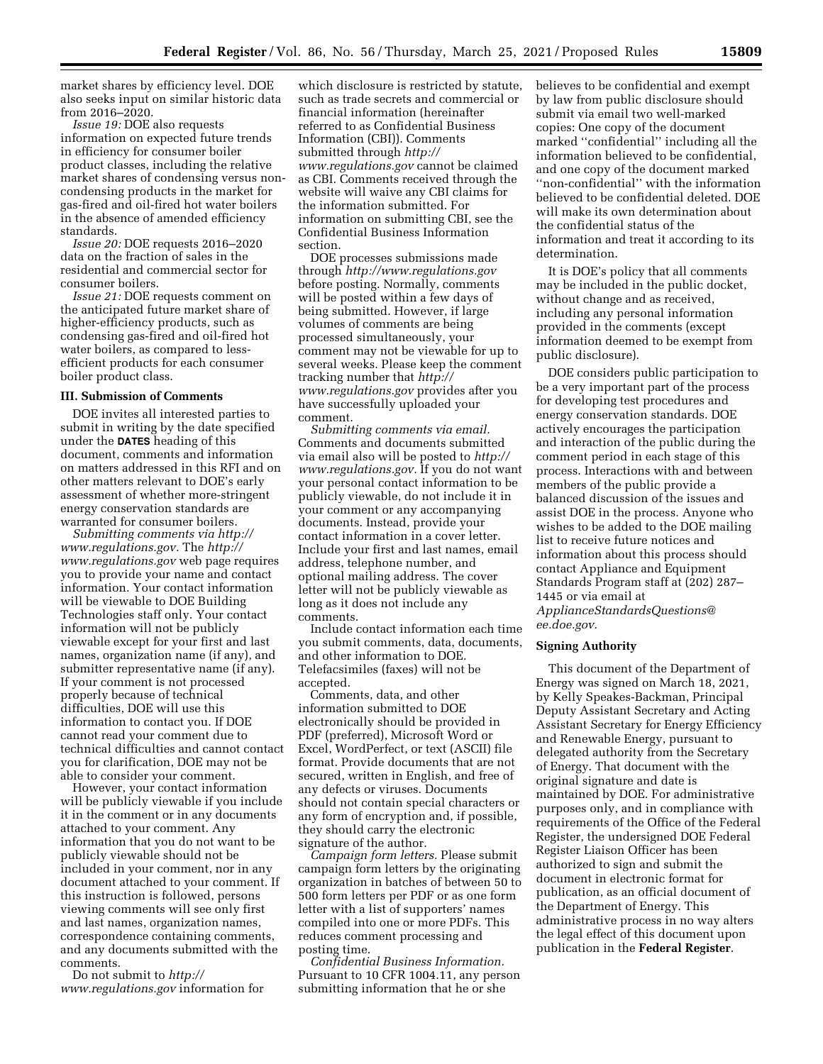market shares by efficiency level. DOE also seeks input on similar historic data from 2016–2020.

*Issue 19:* DOE also requests information on expected future trends in efficiency for consumer boiler product classes, including the relative market shares of condensing versus noncondensing products in the market for gas-fired and oil-fired hot water boilers in the absence of amended efficiency standards.

*Issue 20:* DOE requests 2016–2020 data on the fraction of sales in the residential and commercial sector for consumer boilers.

*Issue 21:* DOE requests comment on the anticipated future market share of higher-efficiency products, such as condensing gas-fired and oil-fired hot water boilers, as compared to lessefficient products for each consumer boiler product class.

### **III. Submission of Comments**

DOE invites all interested parties to submit in writing by the date specified under the **DATES** heading of this document, comments and information on matters addressed in this RFI and on other matters relevant to DOE's early assessment of whether more-stringent energy conservation standards are warranted for consumer boilers.

*Submitting comments via [http://](http://www.regulations.gov) [www.regulations.gov.](http://www.regulations.gov)* The *[http://](http://www.regulations.gov) [www.regulations.gov](http://www.regulations.gov)* web page requires you to provide your name and contact information. Your contact information will be viewable to DOE Building Technologies staff only. Your contact information will not be publicly viewable except for your first and last names, organization name (if any), and submitter representative name (if any). If your comment is not processed properly because of technical difficulties, DOE will use this information to contact you. If DOE cannot read your comment due to technical difficulties and cannot contact you for clarification, DOE may not be able to consider your comment.

However, your contact information will be publicly viewable if you include it in the comment or in any documents attached to your comment. Any information that you do not want to be publicly viewable should not be included in your comment, nor in any document attached to your comment. If this instruction is followed, persons viewing comments will see only first and last names, organization names, correspondence containing comments, and any documents submitted with the comments.

Do not submit to *[http://](http://www.regulations.gov) [www.regulations.gov](http://www.regulations.gov)* information for

which disclosure is restricted by statute, such as trade secrets and commercial or financial information (hereinafter referred to as Confidential Business Information (CBI)). Comments submitted through *[http://](http://www.regulations.gov) [www.regulations.gov](http://www.regulations.gov)* cannot be claimed as CBI. Comments received through the website will waive any CBI claims for the information submitted. For information on submitting CBI, see the Confidential Business Information section.

DOE processes submissions made through *<http://www.regulations.gov>*  before posting. Normally, comments will be posted within a few days of being submitted. However, if large volumes of comments are being processed simultaneously, your comment may not be viewable for up to several weeks. Please keep the comment tracking number that *[http://](http://www.regulations.gov) [www.regulations.gov](http://www.regulations.gov)* provides after you have successfully uploaded your comment.

*Submitting comments via email.*  Comments and documents submitted via email also will be posted to *[http://](http://www.regulations.gov) [www.regulations.gov.](http://www.regulations.gov)* If you do not want your personal contact information to be publicly viewable, do not include it in your comment or any accompanying documents. Instead, provide your contact information in a cover letter. Include your first and last names, email address, telephone number, and optional mailing address. The cover letter will not be publicly viewable as long as it does not include any comments.

Include contact information each time you submit comments, data, documents, and other information to DOE. Telefacsimiles (faxes) will not be accepted.

Comments, data, and other information submitted to DOE electronically should be provided in PDF (preferred), Microsoft Word or Excel, WordPerfect, or text (ASCII) file format. Provide documents that are not secured, written in English, and free of any defects or viruses. Documents should not contain special characters or any form of encryption and, if possible, they should carry the electronic signature of the author.

*Campaign form letters.* Please submit campaign form letters by the originating organization in batches of between 50 to 500 form letters per PDF or as one form letter with a list of supporters' names compiled into one or more PDFs. This reduces comment processing and posting time.

*Confidential Business Information.*  Pursuant to 10 CFR 1004.11, any person submitting information that he or she

believes to be confidential and exempt by law from public disclosure should submit via email two well-marked copies: One copy of the document marked ''confidential'' including all the information believed to be confidential, and one copy of the document marked ''non-confidential'' with the information believed to be confidential deleted. DOE will make its own determination about the confidential status of the information and treat it according to its determination.

It is DOE's policy that all comments may be included in the public docket, without change and as received, including any personal information provided in the comments (except information deemed to be exempt from public disclosure).

DOE considers public participation to be a very important part of the process for developing test procedures and energy conservation standards. DOE actively encourages the participation and interaction of the public during the comment period in each stage of this process. Interactions with and between members of the public provide a balanced discussion of the issues and assist DOE in the process. Anyone who wishes to be added to the DOE mailing list to receive future notices and information about this process should contact Appliance and Equipment Standards Program staff at (202) 287– 1445 or via email at *[ApplianceStandardsQuestions@](mailto:ApplianceStandardsQuestions@ee.doe.gov) [ee.doe.gov.](mailto:ApplianceStandardsQuestions@ee.doe.gov)* 

### **Signing Authority**

This document of the Department of Energy was signed on March 18, 2021, by Kelly Speakes-Backman, Principal Deputy Assistant Secretary and Acting Assistant Secretary for Energy Efficiency and Renewable Energy, pursuant to delegated authority from the Secretary of Energy. That document with the original signature and date is maintained by DOE. For administrative purposes only, and in compliance with requirements of the Office of the Federal Register, the undersigned DOE Federal Register Liaison Officer has been authorized to sign and submit the document in electronic format for publication, as an official document of the Department of Energy. This administrative process in no way alters the legal effect of this document upon publication in the **Federal Register**.